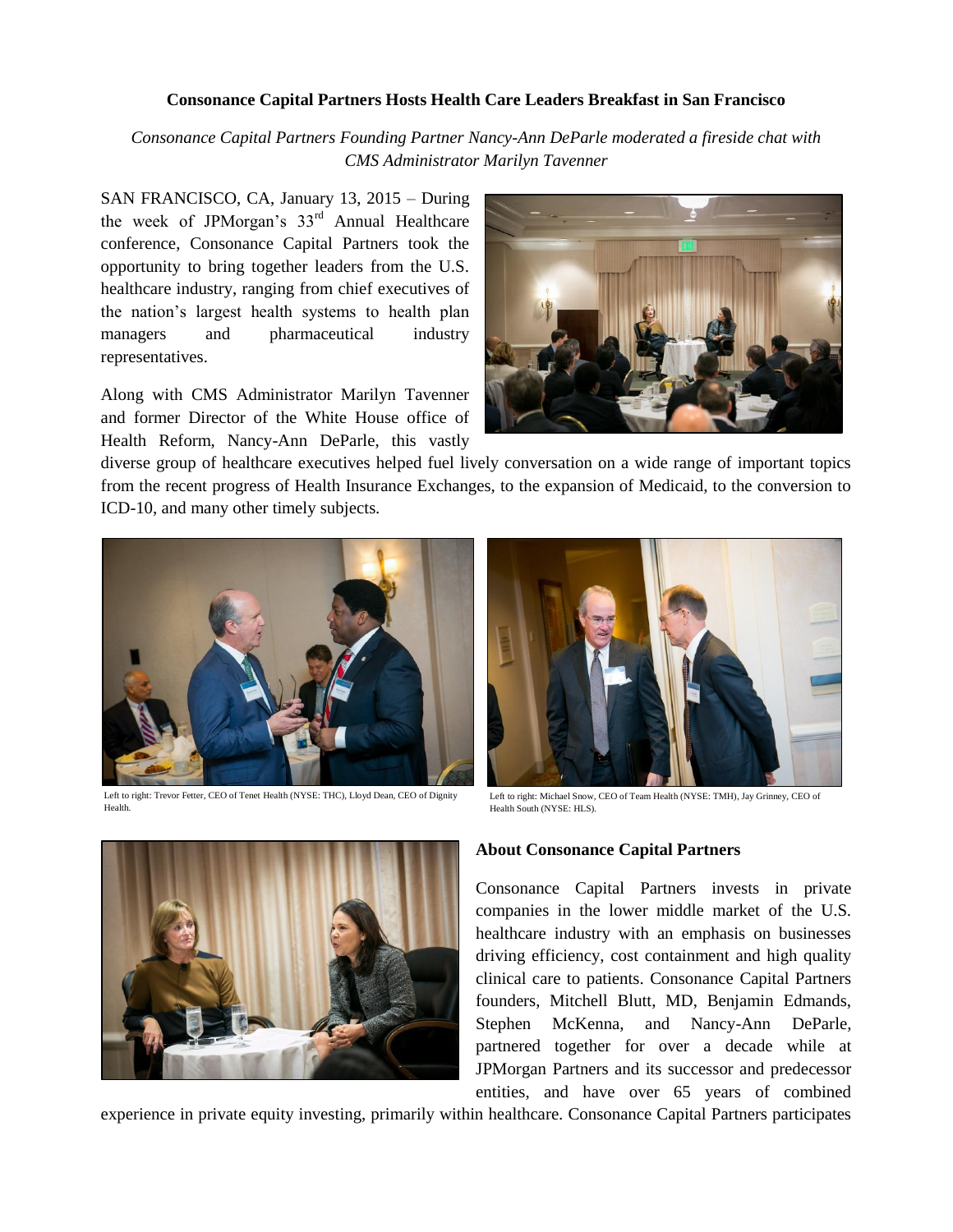## **Consonance Capital Partners Hosts Health Care Leaders Breakfast in San Francisco**

*Consonance Capital Partners Founding Partner Nancy-Ann DeParle moderated a fireside chat with CMS Administrator Marilyn Tavenner*

SAN FRANCISCO, CA, January 13, 2015 – During the week of JPMorgan's  $33<sup>rd</sup>$  Annual Healthcare conference, Consonance Capital Partners took the opportunity to bring together leaders from the U.S. healthcare industry, ranging from chief executives of the nation's largest health systems to health plan managers and pharmaceutical industry representatives.

Along with CMS Administrator Marilyn Tavenner and former Director of the White House office of Health Reform, Nancy-Ann DeParle, this vastly



diverse group of healthcare executives helped fuel lively conversation on a wide range of important topics from the recent progress of Health Insurance Exchanges, to the expansion of Medicaid, to the conversion to ICD-10, and many other timely subjects.

 $\overline{a}$ 



Left to right: Trevor Fetter, CEO of Tenet Health (NYSE: THC), Lloyd Dean, CEO of Dignity Health.



Left to right: Michael Snow, CEO of Team Health (NYSE: TMH), Jay Grinney, CEO of Health South (NYSE: HLS).



## **About Consonance Capital Partners**

Consonance Capital Partners invests in private companies in the lower middle market of the U.S. healthcare industry with an emphasis on businesses driving efficiency, cost containment and high quality clinical care to patients. Consonance Capital Partners founders, Mitchell Blutt, MD, Benjamin Edmands, Stephen McKenna, and Nancy-Ann DeParle, partnered together for over a decade while at JPMorgan Partners and its successor and predecessor entities, and have over 65 years of combined

experience in private equity investing, primarily within healthcare. Consonance Capital Partners participates